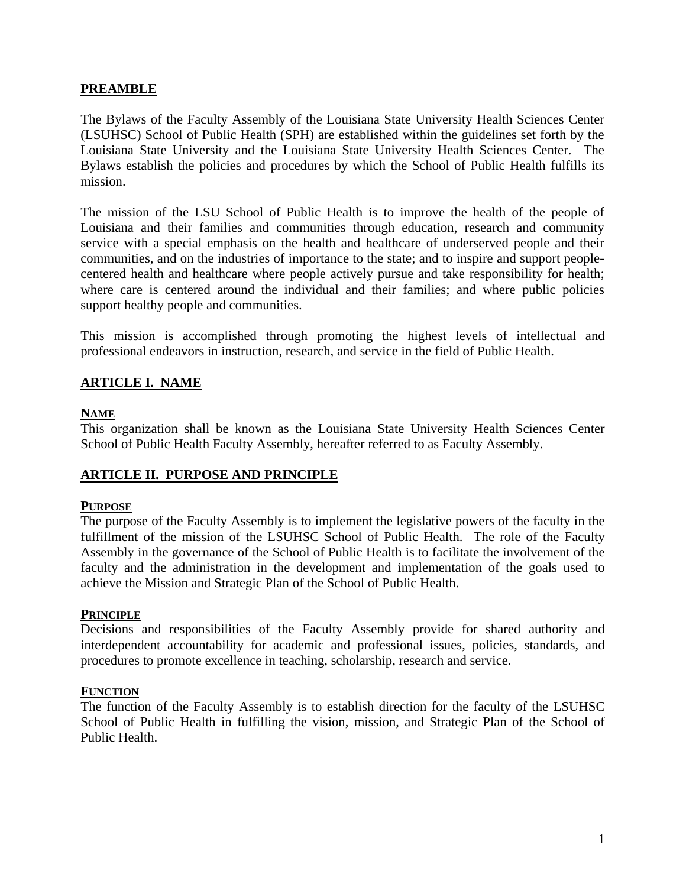#### **PREAMBLE**

The Bylaws of the Faculty Assembly of the Louisiana State University Health Sciences Center (LSUHSC) School of Public Health (SPH) are established within the guidelines set forth by the Louisiana State University and the Louisiana State University Health Sciences Center. The Bylaws establish the policies and procedures by which the School of Public Health fulfills its mission.

The mission of the LSU School of Public Health is to improve the health of the people of Louisiana and their families and communities through education, research and community service with a special emphasis on the health and healthcare of underserved people and their communities, and on the industries of importance to the state; and to inspire and support peoplecentered health and healthcare where people actively pursue and take responsibility for health; where care is centered around the individual and their families; and where public policies support healthy people and communities.

This mission is accomplished through promoting the highest levels of intellectual and professional endeavors in instruction, research, and service in the field of Public Health.

## **ARTICLE I. NAME**

## **NAME**

This organization shall be known as the Louisiana State University Health Sciences Center School of Public Health Faculty Assembly, hereafter referred to as Faculty Assembly.

## **ARTICLE II. PURPOSE AND PRINCIPLE**

#### **PURPOSE**

The purpose of the Faculty Assembly is to implement the legislative powers of the faculty in the fulfillment of the mission of the LSUHSC School of Public Health. The role of the Faculty Assembly in the governance of the School of Public Health is to facilitate the involvement of the faculty and the administration in the development and implementation of the goals used to achieve the Mission and Strategic Plan of the School of Public Health.

#### **PRINCIPLE**

Decisions and responsibilities of the Faculty Assembly provide for shared authority and interdependent accountability for academic and professional issues, policies, standards, and procedures to promote excellence in teaching, scholarship, research and service.

#### **FUNCTION**

The function of the Faculty Assembly is to establish direction for the faculty of the LSUHSC School of Public Health in fulfilling the vision, mission, and Strategic Plan of the School of Public Health.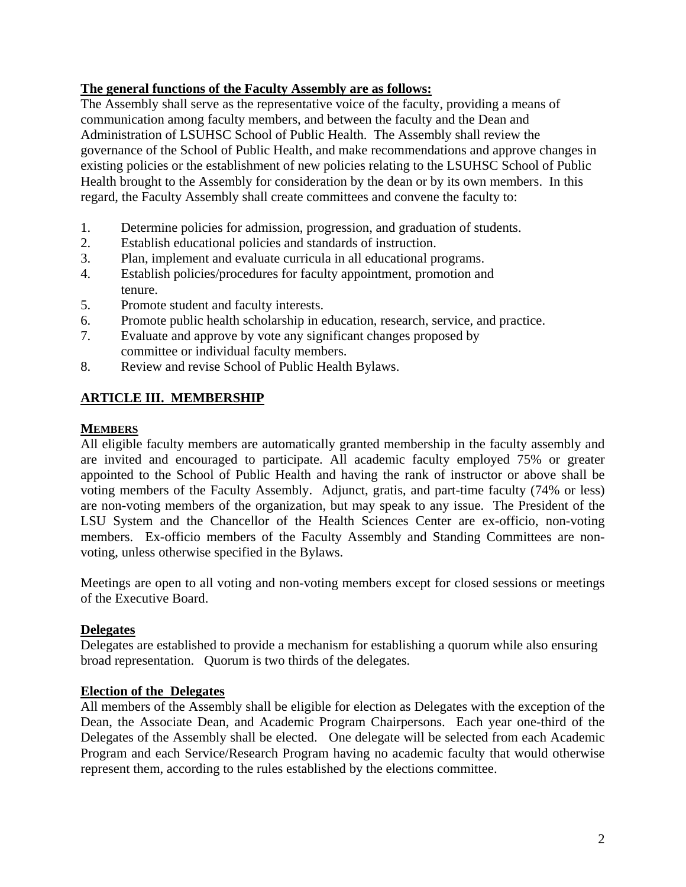## **The general functions of the Faculty Assembly are as follows:**

The Assembly shall serve as the representative voice of the faculty, providing a means of communication among faculty members, and between the faculty and the Dean and Administration of LSUHSC School of Public Health. The Assembly shall review the governance of the School of Public Health, and make recommendations and approve changes in existing policies or the establishment of new policies relating to the LSUHSC School of Public Health brought to the Assembly for consideration by the dean or by its own members. In this regard, the Faculty Assembly shall create committees and convene the faculty to:

- 1. Determine policies for admission, progression, and graduation of students.
- 2. Establish educational policies and standards of instruction.
- 3. Plan, implement and evaluate curricula in all educational programs.
- 4. Establish policies/procedures for faculty appointment, promotion and tenure.
- 5. Promote student and faculty interests.
- 6. Promote public health scholarship in education, research, service, and practice.
- 7. Evaluate and approve by vote any significant changes proposed by committee or individual faculty members.
- 8. Review and revise School of Public Health Bylaws.

# **ARTICLE III. MEMBERSHIP**

## **MEMBERS**

All eligible faculty members are automatically granted membership in the faculty assembly and are invited and encouraged to participate. All academic faculty employed 75% or greater appointed to the School of Public Health and having the rank of instructor or above shall be voting members of the Faculty Assembly. Adjunct, gratis, and part-time faculty (74% or less) are non-voting members of the organization, but may speak to any issue. The President of the LSU System and the Chancellor of the Health Sciences Center are ex-officio, non-voting members. Ex-officio members of the Faculty Assembly and Standing Committees are nonvoting, unless otherwise specified in the Bylaws.

Meetings are open to all voting and non-voting members except for closed sessions or meetings of the Executive Board.

## **Delegates**

Delegates are established to provide a mechanism for establishing a quorum while also ensuring broad representation. Quorum is two thirds of the delegates.

## **Election of the Delegates**

All members of the Assembly shall be eligible for election as Delegates with the exception of the Dean, the Associate Dean, and Academic Program Chairpersons. Each year one-third of the Delegates of the Assembly shall be elected. One delegate will be selected from each Academic Program and each Service/Research Program having no academic faculty that would otherwise represent them, according to the rules established by the elections committee.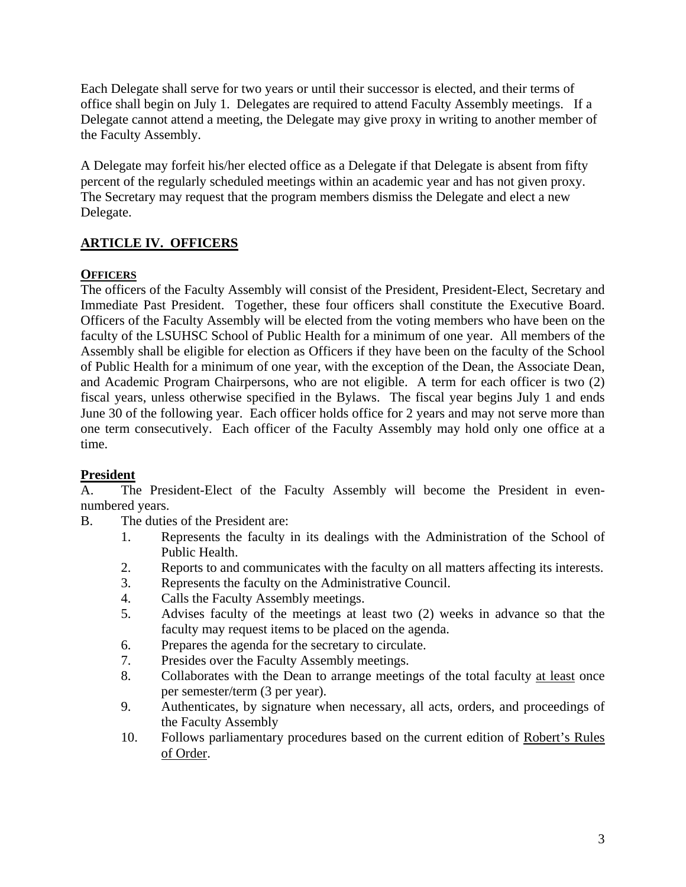Each Delegate shall serve for two years or until their successor is elected, and their terms of office shall begin on July 1. Delegates are required to attend Faculty Assembly meetings. If a Delegate cannot attend a meeting, the Delegate may give proxy in writing to another member of the Faculty Assembly.

A Delegate may forfeit his/her elected office as a Delegate if that Delegate is absent from fifty percent of the regularly scheduled meetings within an academic year and has not given proxy. The Secretary may request that the program members dismiss the Delegate and elect a new Delegate.

# **ARTICLE IV. OFFICERS**

## **OFFICERS**

The officers of the Faculty Assembly will consist of the President, President-Elect, Secretary and Immediate Past President. Together, these four officers shall constitute the Executive Board. Officers of the Faculty Assembly will be elected from the voting members who have been on the faculty of the LSUHSC School of Public Health for a minimum of one year. All members of the Assembly shall be eligible for election as Officers if they have been on the faculty of the School of Public Health for a minimum of one year, with the exception of the Dean, the Associate Dean, and Academic Program Chairpersons, who are not eligible. A term for each officer is two (2) fiscal years, unless otherwise specified in the Bylaws. The fiscal year begins July 1 and ends June 30 of the following year. Each officer holds office for 2 years and may not serve more than one term consecutively. Each officer of the Faculty Assembly may hold only one office at a time.

## **President**

A. The President-Elect of the Faculty Assembly will become the President in evennumbered years.

- B. The duties of the President are:
	- 1. Represents the faculty in its dealings with the Administration of the School of Public Health.
	- 2. Reports to and communicates with the faculty on all matters affecting its interests.
	- 3. Represents the faculty on the Administrative Council.
	- 4. Calls the Faculty Assembly meetings.
	- 5. Advises faculty of the meetings at least two (2) weeks in advance so that the faculty may request items to be placed on the agenda.
	- 6. Prepares the agenda for the secretary to circulate.
	- 7. Presides over the Faculty Assembly meetings.
	- 8. Collaborates with the Dean to arrange meetings of the total faculty at least once per semester/term (3 per year).
	- 9. Authenticates, by signature when necessary, all acts, orders, and proceedings of the Faculty Assembly
	- 10. Follows parliamentary procedures based on the current edition of Robert's Rules of Order.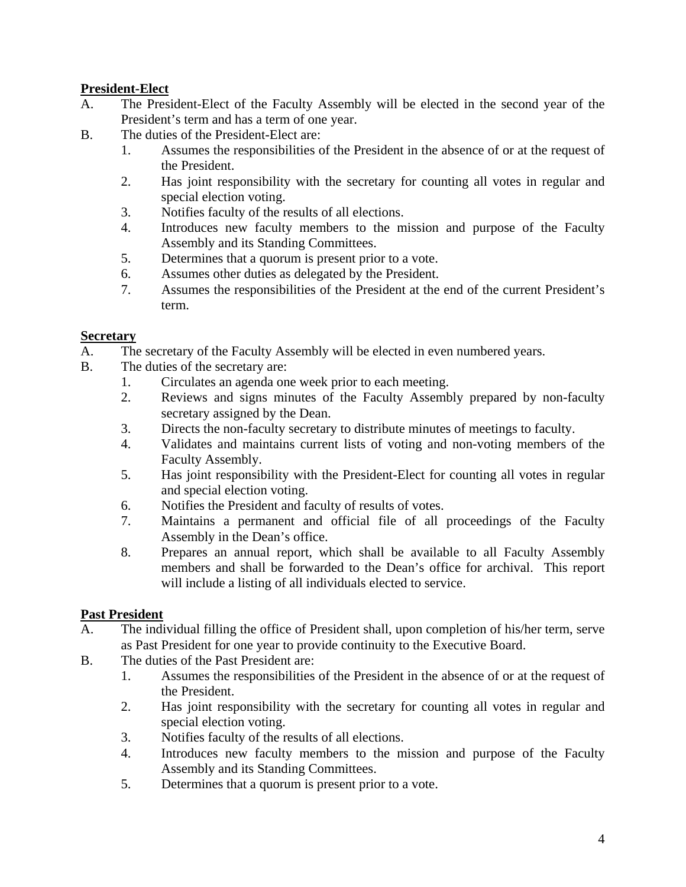## **President-Elect**

- A. The President-Elect of the Faculty Assembly will be elected in the second year of the President's term and has a term of one year.
- B. The duties of the President-Elect are:
	- 1. Assumes the responsibilities of the President in the absence of or at the request of the President.
	- 2. Has joint responsibility with the secretary for counting all votes in regular and special election voting.
	- 3. Notifies faculty of the results of all elections.
	- 4. Introduces new faculty members to the mission and purpose of the Faculty Assembly and its Standing Committees.
	- 5. Determines that a quorum is present prior to a vote.
	- 6. Assumes other duties as delegated by the President.
	- 7. Assumes the responsibilities of the President at the end of the current President's term.

## **Secretary**

- A. The secretary of the Faculty Assembly will be elected in even numbered years.
- B. The duties of the secretary are:
	- 1. Circulates an agenda one week prior to each meeting.
	- 2. Reviews and signs minutes of the Faculty Assembly prepared by non-faculty secretary assigned by the Dean.
	- 3. Directs the non-faculty secretary to distribute minutes of meetings to faculty.
	- 4. Validates and maintains current lists of voting and non-voting members of the Faculty Assembly.
	- 5. Has joint responsibility with the President-Elect for counting all votes in regular and special election voting.
	- 6. Notifies the President and faculty of results of votes.
	- 7. Maintains a permanent and official file of all proceedings of the Faculty Assembly in the Dean's office.
	- 8. Prepares an annual report, which shall be available to all Faculty Assembly members and shall be forwarded to the Dean's office for archival. This report will include a listing of all individuals elected to service.

# **Past President**

- A. The individual filling the office of President shall, upon completion of his/her term, serve as Past President for one year to provide continuity to the Executive Board.
- B. The duties of the Past President are:
	- 1. Assumes the responsibilities of the President in the absence of or at the request of the President.
	- 2. Has joint responsibility with the secretary for counting all votes in regular and special election voting.
	- 3. Notifies faculty of the results of all elections.
	- 4. Introduces new faculty members to the mission and purpose of the Faculty Assembly and its Standing Committees.
	- 5. Determines that a quorum is present prior to a vote.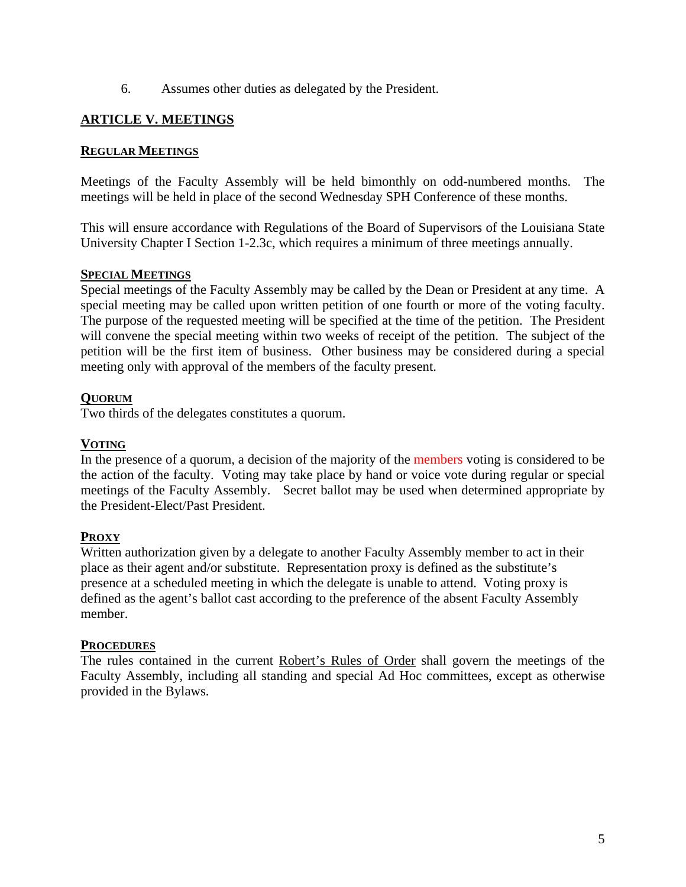6. Assumes other duties as delegated by the President.

## **ARTICLE V. MEETINGS**

#### **REGULAR MEETINGS**

Meetings of the Faculty Assembly will be held bimonthly on odd-numbered months. The meetings will be held in place of the second Wednesday SPH Conference of these months.

This will ensure accordance with Regulations of the Board of Supervisors of the Louisiana State University Chapter I Section 1-2.3c, which requires a minimum of three meetings annually.

#### **SPECIAL MEETINGS**

Special meetings of the Faculty Assembly may be called by the Dean or President at any time. A special meeting may be called upon written petition of one fourth or more of the voting faculty. The purpose of the requested meeting will be specified at the time of the petition. The President will convene the special meeting within two weeks of receipt of the petition. The subject of the petition will be the first item of business. Other business may be considered during a special meeting only with approval of the members of the faculty present.

#### **QUORUM**

Two thirds of the delegates constitutes a quorum.

#### **VOTING**

In the presence of a quorum, a decision of the majority of the members voting is considered to be the action of the faculty. Voting may take place by hand or voice vote during regular or special meetings of the Faculty Assembly. Secret ballot may be used when determined appropriate by the President-Elect/Past President.

#### **PROXY**

Written authorization given by a delegate to another Faculty Assembly member to act in their place as their agent and/or substitute. Representation proxy is defined as the substitute's presence at a scheduled meeting in which the delegate is unable to attend. Voting proxy is defined as the agent's ballot cast according to the preference of the absent Faculty Assembly member.

#### **PROCEDURES**

The rules contained in the current Robert's Rules of Order shall govern the meetings of the Faculty Assembly, including all standing and special Ad Hoc committees, except as otherwise provided in the Bylaws.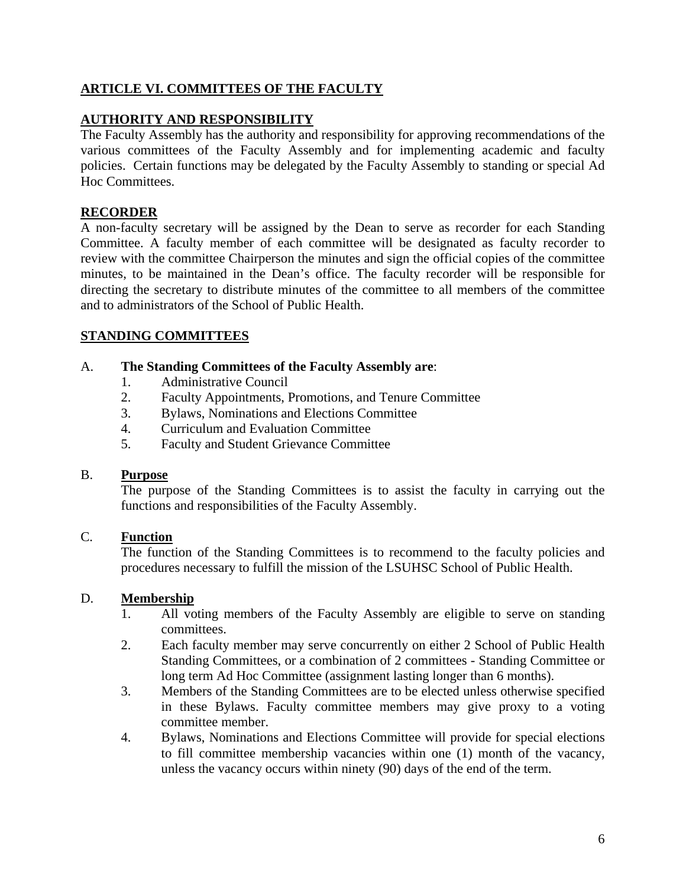## **ARTICLE VI. COMMITTEES OF THE FACULTY**

## **AUTHORITY AND RESPONSIBILITY**

The Faculty Assembly has the authority and responsibility for approving recommendations of the various committees of the Faculty Assembly and for implementing academic and faculty policies. Certain functions may be delegated by the Faculty Assembly to standing or special Ad Hoc Committees.

## **RECORDER**

A non-faculty secretary will be assigned by the Dean to serve as recorder for each Standing Committee. A faculty member of each committee will be designated as faculty recorder to review with the committee Chairperson the minutes and sign the official copies of the committee minutes, to be maintained in the Dean's office. The faculty recorder will be responsible for directing the secretary to distribute minutes of the committee to all members of the committee and to administrators of the School of Public Health.

## **STANDING COMMITTEES**

#### A. **The Standing Committees of the Faculty Assembly are**:

- 1. Administrative Council
- 2. Faculty Appointments, Promotions, and Tenure Committee
- 3. Bylaws, Nominations and Elections Committee
- 4. Curriculum and Evaluation Committee
- 5. Faculty and Student Grievance Committee

#### B. **Purpose**

The purpose of the Standing Committees is to assist the faculty in carrying out the functions and responsibilities of the Faculty Assembly.

## C. **Function**

The function of the Standing Committees is to recommend to the faculty policies and procedures necessary to fulfill the mission of the LSUHSC School of Public Health.

## D. **Membership**

- 1. All voting members of the Faculty Assembly are eligible to serve on standing committees.
- 2. Each faculty member may serve concurrently on either 2 School of Public Health Standing Committees, or a combination of 2 committees - Standing Committee or long term Ad Hoc Committee (assignment lasting longer than 6 months).
- 3. Members of the Standing Committees are to be elected unless otherwise specified in these Bylaws. Faculty committee members may give proxy to a voting committee member.
- 4. Bylaws, Nominations and Elections Committee will provide for special elections to fill committee membership vacancies within one (1) month of the vacancy, unless the vacancy occurs within ninety (90) days of the end of the term.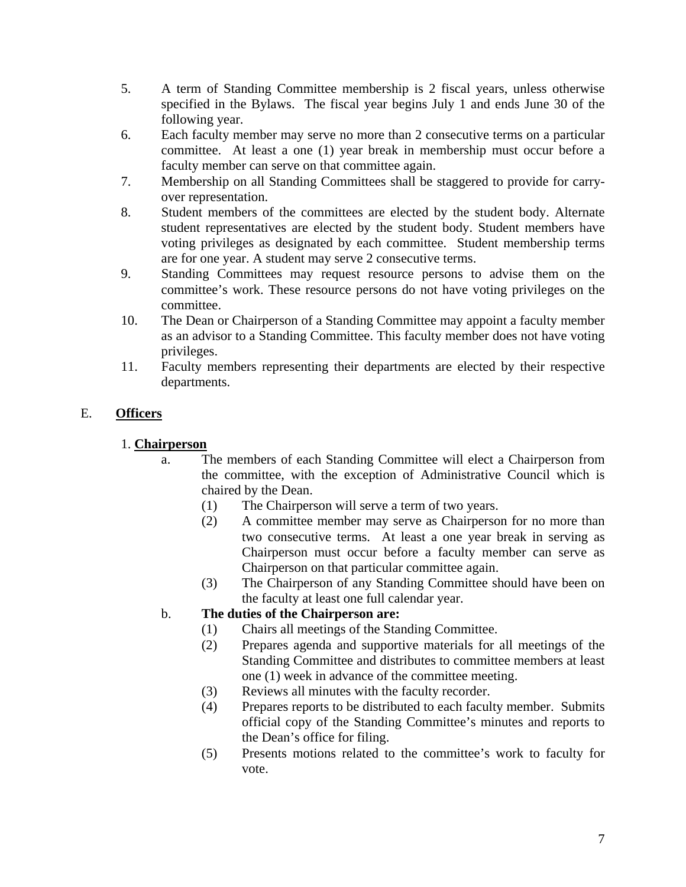- 5. A term of Standing Committee membership is 2 fiscal years, unless otherwise specified in the Bylaws. The fiscal year begins July 1 and ends June 30 of the following year.
- 6. Each faculty member may serve no more than 2 consecutive terms on a particular committee. At least a one (1) year break in membership must occur before a faculty member can serve on that committee again.
- 7. Membership on all Standing Committees shall be staggered to provide for carryover representation.
- 8. Student members of the committees are elected by the student body. Alternate student representatives are elected by the student body. Student members have voting privileges as designated by each committee. Student membership terms are for one year. A student may serve 2 consecutive terms.
- 9. Standing Committees may request resource persons to advise them on the committee's work. These resource persons do not have voting privileges on the committee.
- 10. The Dean or Chairperson of a Standing Committee may appoint a faculty member as an advisor to a Standing Committee. This faculty member does not have voting privileges.
- 11. Faculty members representing their departments are elected by their respective departments.

# E. **Officers**

# 1. **Chairperson**

- a. The members of each Standing Committee will elect a Chairperson from the committee, with the exception of Administrative Council which is chaired by the Dean.
	- (1) The Chairperson will serve a term of two years.
	- (2) A committee member may serve as Chairperson for no more than two consecutive terms. At least a one year break in serving as Chairperson must occur before a faculty member can serve as Chairperson on that particular committee again.
	- (3) The Chairperson of any Standing Committee should have been on the faculty at least one full calendar year.

# b. **The duties of the Chairperson are:**

- (1) Chairs all meetings of the Standing Committee.
- (2) Prepares agenda and supportive materials for all meetings of the Standing Committee and distributes to committee members at least one (1) week in advance of the committee meeting.
- (3) Reviews all minutes with the faculty recorder.
- (4) Prepares reports to be distributed to each faculty member. Submits official copy of the Standing Committee's minutes and reports to the Dean's office for filing.
- (5) Presents motions related to the committee's work to faculty for vote.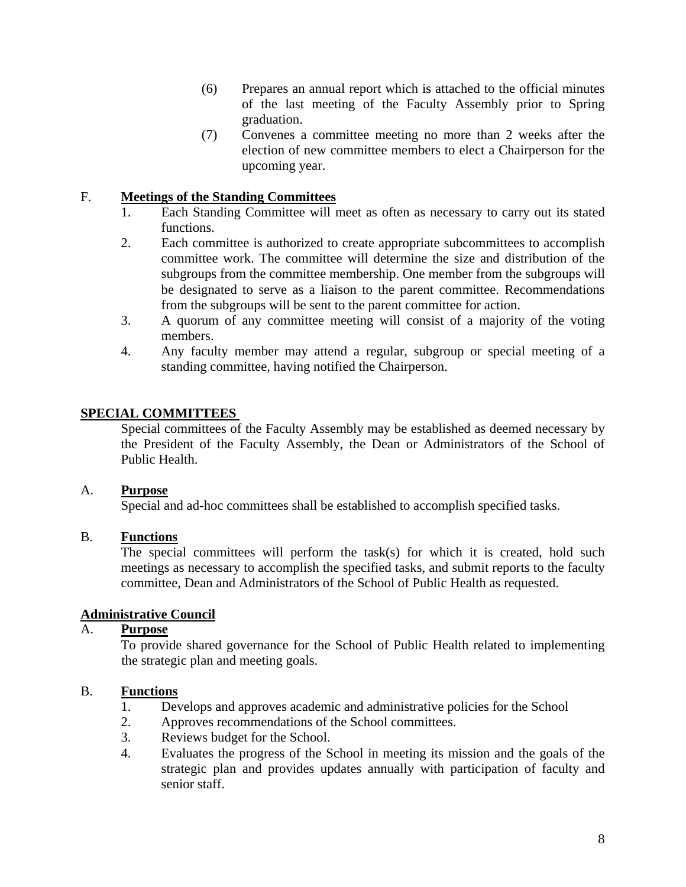- (6) Prepares an annual report which is attached to the official minutes of the last meeting of the Faculty Assembly prior to Spring graduation.
- (7) Convenes a committee meeting no more than 2 weeks after the election of new committee members to elect a Chairperson for the upcoming year.

## F. **Meetings of the Standing Committees**

- 1. Each Standing Committee will meet as often as necessary to carry out its stated functions.
- 2. Each committee is authorized to create appropriate subcommittees to accomplish committee work. The committee will determine the size and distribution of the subgroups from the committee membership. One member from the subgroups will be designated to serve as a liaison to the parent committee. Recommendations from the subgroups will be sent to the parent committee for action.
- 3. A quorum of any committee meeting will consist of a majority of the voting members.
- 4. Any faculty member may attend a regular, subgroup or special meeting of a standing committee, having notified the Chairperson.

## **SPECIAL COMMITTEES**

Special committees of the Faculty Assembly may be established as deemed necessary by the President of the Faculty Assembly, the Dean or Administrators of the School of Public Health.

## A. **Purpose**

Special and ad-hoc committees shall be established to accomplish specified tasks.

## B. **Functions**

The special committees will perform the task(s) for which it is created, hold such meetings as necessary to accomplish the specified tasks, and submit reports to the faculty committee, Dean and Administrators of the School of Public Health as requested.

## **Administrative Council**

#### A. **Purpose**

To provide shared governance for the School of Public Health related to implementing the strategic plan and meeting goals.

## B. **Functions**

- 1. Develops and approves academic and administrative policies for the School
- 2. Approves recommendations of the School committees.
- 3. Reviews budget for the School.
- 4. Evaluates the progress of the School in meeting its mission and the goals of the strategic plan and provides updates annually with participation of faculty and senior staff.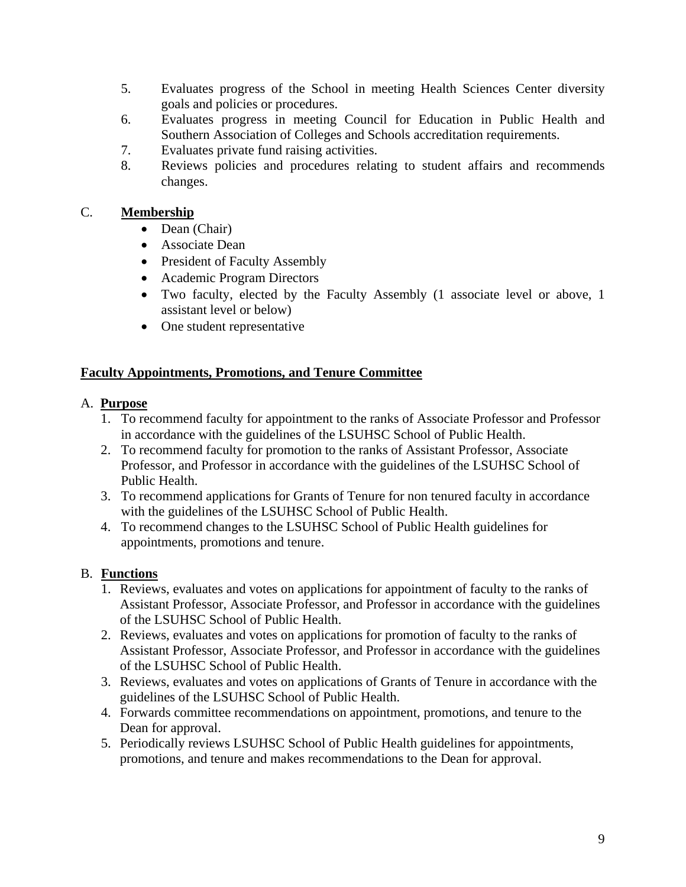- 5. Evaluates progress of the School in meeting Health Sciences Center diversity goals and policies or procedures.
- 6. Evaluates progress in meeting Council for Education in Public Health and Southern Association of Colleges and Schools accreditation requirements.
- 7. Evaluates private fund raising activities.
- 8. Reviews policies and procedures relating to student affairs and recommends changes.

## C. **Membership**

- Dean (Chair)
- Associate Dean
- President of Faculty Assembly
- Academic Program Directors
- Two faculty, elected by the Faculty Assembly (1 associate level or above, 1 assistant level or below)
- One student representative

## **Faculty Appointments, Promotions, and Tenure Committee**

## A. **Purpose**

- 1. To recommend faculty for appointment to the ranks of Associate Professor and Professor in accordance with the guidelines of the LSUHSC School of Public Health.
- 2. To recommend faculty for promotion to the ranks of Assistant Professor, Associate Professor, and Professor in accordance with the guidelines of the LSUHSC School of Public Health.
- 3. To recommend applications for Grants of Tenure for non tenured faculty in accordance with the guidelines of the LSUHSC School of Public Health.
- 4. To recommend changes to the LSUHSC School of Public Health guidelines for appointments, promotions and tenure.

# B. **Functions**

- 1. Reviews, evaluates and votes on applications for appointment of faculty to the ranks of Assistant Professor, Associate Professor, and Professor in accordance with the guidelines of the LSUHSC School of Public Health.
- 2. Reviews, evaluates and votes on applications for promotion of faculty to the ranks of Assistant Professor, Associate Professor, and Professor in accordance with the guidelines of the LSUHSC School of Public Health.
- 3. Reviews, evaluates and votes on applications of Grants of Tenure in accordance with the guidelines of the LSUHSC School of Public Health.
- 4. Forwards committee recommendations on appointment, promotions, and tenure to the Dean for approval.
- 5. Periodically reviews LSUHSC School of Public Health guidelines for appointments, promotions, and tenure and makes recommendations to the Dean for approval.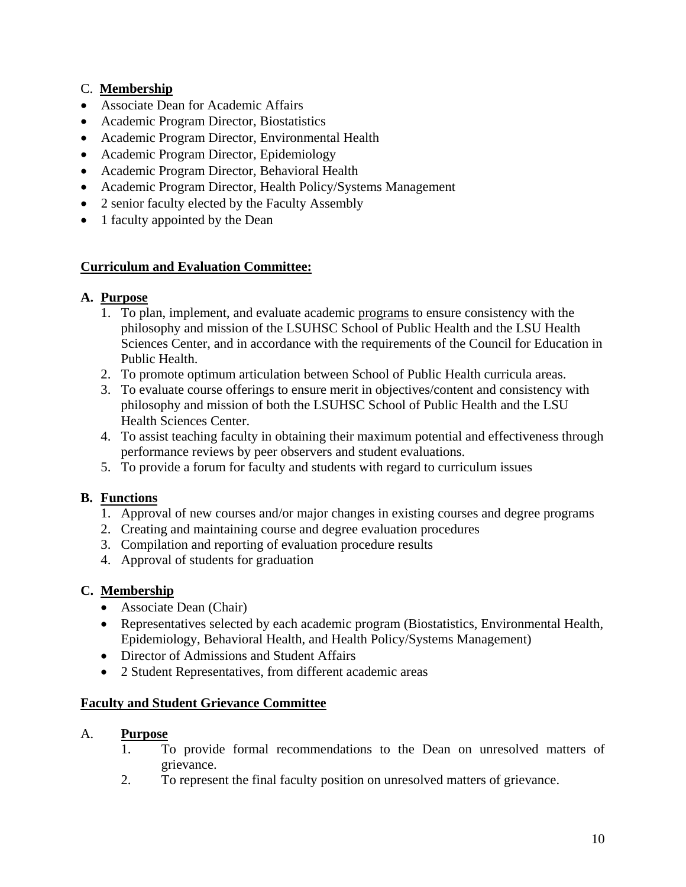# C. **Membership**

- Associate Dean for Academic Affairs
- Academic Program Director, Biostatistics
- Academic Program Director, Environmental Health
- Academic Program Director, Epidemiology
- Academic Program Director, Behavioral Health
- Academic Program Director, Health Policy/Systems Management
- 2 senior faculty elected by the Faculty Assembly
- 1 faculty appointed by the Dean

## **Curriculum and Evaluation Committee:**

## **A. Purpose**

- 1. To plan, implement, and evaluate academic programs to ensure consistency with the philosophy and mission of the LSUHSC School of Public Health and the LSU Health Sciences Center, and in accordance with the requirements of the Council for Education in Public Health.
- 2. To promote optimum articulation between School of Public Health curricula areas.
- 3. To evaluate course offerings to ensure merit in objectives/content and consistency with philosophy and mission of both the LSUHSC School of Public Health and the LSU Health Sciences Center.
- 4. To assist teaching faculty in obtaining their maximum potential and effectiveness through performance reviews by peer observers and student evaluations.
- 5. To provide a forum for faculty and students with regard to curriculum issues

# **B. Functions**

- 1. Approval of new courses and/or major changes in existing courses and degree programs
- 2. Creating and maintaining course and degree evaluation procedures
- 3. Compilation and reporting of evaluation procedure results
- 4. Approval of students for graduation

# **C. Membership**

- Associate Dean (Chair)
- Representatives selected by each academic program (Biostatistics, Environmental Health, Epidemiology, Behavioral Health, and Health Policy/Systems Management)
- Director of Admissions and Student Affairs
- 2 Student Representatives, from different academic areas

## **Faculty and Student Grievance Committee**

## A. **Purpose**

- 1. To provide formal recommendations to the Dean on unresolved matters of grievance.
- 2. To represent the final faculty position on unresolved matters of grievance.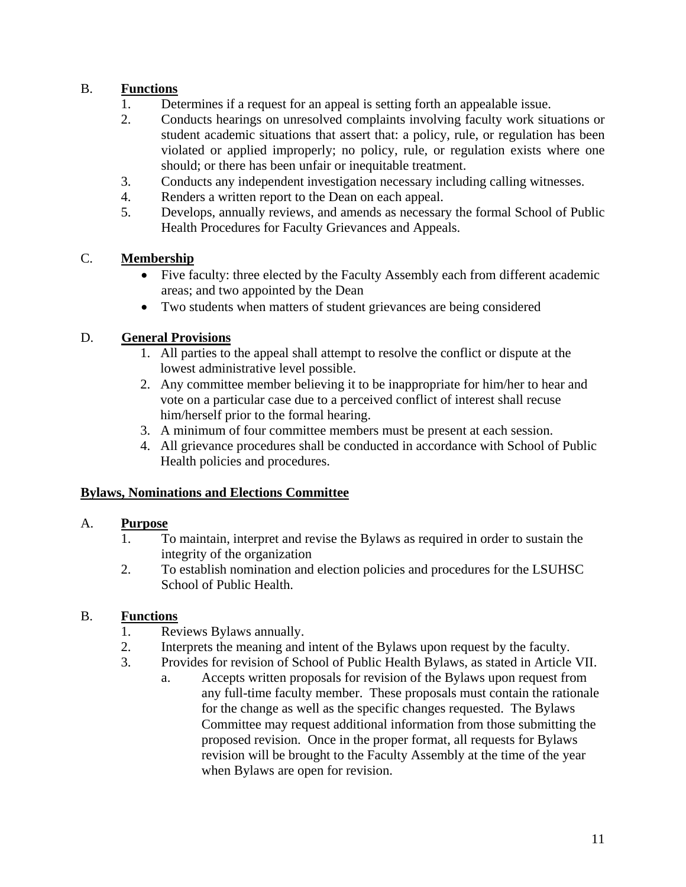# B. **Functions**

- 1. Determines if a request for an appeal is setting forth an appealable issue.
- 2. Conducts hearings on unresolved complaints involving faculty work situations or student academic situations that assert that: a policy, rule, or regulation has been violated or applied improperly; no policy, rule, or regulation exists where one should; or there has been unfair or inequitable treatment.
- 3. Conducts any independent investigation necessary including calling witnesses.
- 4. Renders a written report to the Dean on each appeal.
- 5. Develops, annually reviews, and amends as necessary the formal School of Public Health Procedures for Faculty Grievances and Appeals.

# C. **Membership**

- Five faculty: three elected by the Faculty Assembly each from different academic areas; and two appointed by the Dean
- Two students when matters of student grievances are being considered

# D. **General Provisions**

- 1. All parties to the appeal shall attempt to resolve the conflict or dispute at the lowest administrative level possible.
- 2. Any committee member believing it to be inappropriate for him/her to hear and vote on a particular case due to a perceived conflict of interest shall recuse him/herself prior to the formal hearing.
- 3. A minimum of four committee members must be present at each session.
- 4. All grievance procedures shall be conducted in accordance with School of Public Health policies and procedures.

# **Bylaws, Nominations and Elections Committee**

## A. **Purpose**

- 1. To maintain, interpret and revise the Bylaws as required in order to sustain the integrity of the organization
- 2. To establish nomination and election policies and procedures for the LSUHSC School of Public Health.

## B. **Functions**

- 1. Reviews Bylaws annually.
- 2. Interprets the meaning and intent of the Bylaws upon request by the faculty.
- 3. Provides for revision of School of Public Health Bylaws, as stated in Article VII.
	- a. Accepts written proposals for revision of the Bylaws upon request from any full-time faculty member. These proposals must contain the rationale for the change as well as the specific changes requested. The Bylaws Committee may request additional information from those submitting the proposed revision. Once in the proper format, all requests for Bylaws revision will be brought to the Faculty Assembly at the time of the year when Bylaws are open for revision.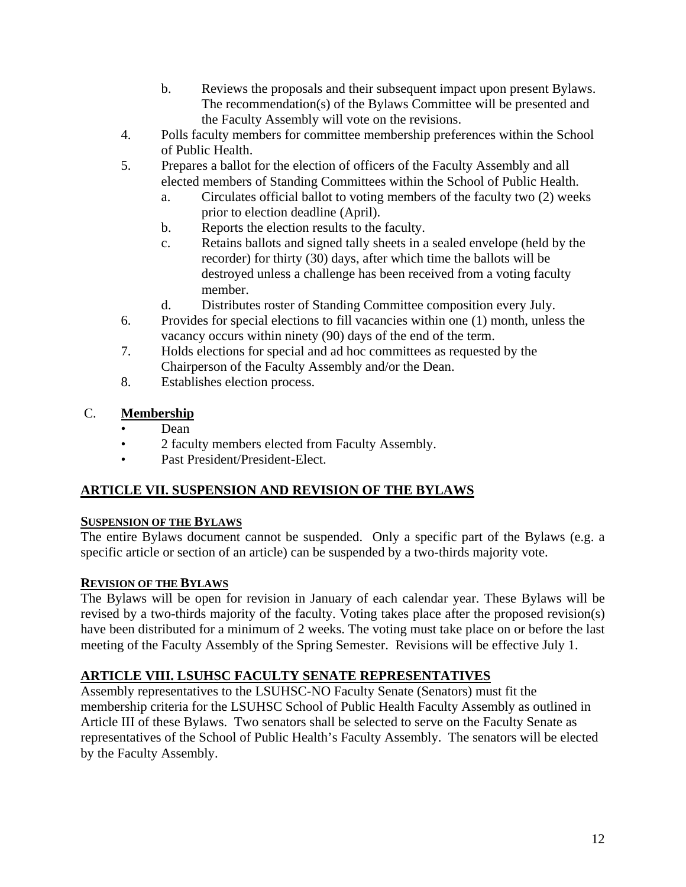- b. Reviews the proposals and their subsequent impact upon present Bylaws. The recommendation(s) of the Bylaws Committee will be presented and the Faculty Assembly will vote on the revisions.
- 4. Polls faculty members for committee membership preferences within the School of Public Health.
- 5. Prepares a ballot for the election of officers of the Faculty Assembly and all elected members of Standing Committees within the School of Public Health.
	- a. Circulates official ballot to voting members of the faculty two (2) weeks prior to election deadline (April).
	- b. Reports the election results to the faculty.
	- c. Retains ballots and signed tally sheets in a sealed envelope (held by the recorder) for thirty (30) days, after which time the ballots will be destroyed unless a challenge has been received from a voting faculty member.
	- d. Distributes roster of Standing Committee composition every July.
- 6. Provides for special elections to fill vacancies within one (1) month, unless the vacancy occurs within ninety (90) days of the end of the term.
- 7. Holds elections for special and ad hoc committees as requested by the Chairperson of the Faculty Assembly and/or the Dean.
- 8. Establishes election process.

## C. **Membership**

- Dean
- 2 faculty members elected from Faculty Assembly.
- Past President/President-Elect.

# **ARTICLE VII. SUSPENSION AND REVISION OF THE BYLAWS**

## **SUSPENSION OF THE BYLAWS**

The entire Bylaws document cannot be suspended. Only a specific part of the Bylaws (e.g. a specific article or section of an article) can be suspended by a two-thirds majority vote.

## **REVISION OF THE BYLAWS**

The Bylaws will be open for revision in January of each calendar year. These Bylaws will be revised by a two-thirds majority of the faculty. Voting takes place after the proposed revision(s) have been distributed for a minimum of 2 weeks. The voting must take place on or before the last meeting of the Faculty Assembly of the Spring Semester. Revisions will be effective July 1.

## **ARTICLE VIII. LSUHSC FACULTY SENATE REPRESENTATIVES**

Assembly representatives to the LSUHSC-NO Faculty Senate (Senators) must fit the membership criteria for the LSUHSC School of Public Health Faculty Assembly as outlined in Article III of these Bylaws. Two senators shall be selected to serve on the Faculty Senate as representatives of the School of Public Health's Faculty Assembly. The senators will be elected by the Faculty Assembly.